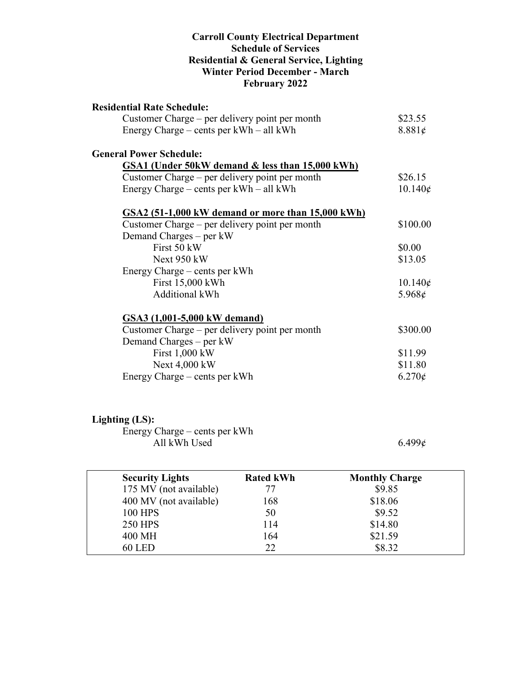#### **Carroll County Electrical Department Schedule of Services Residential & General Service, Lighting Winter Period December - March February 2022**

| <b>Residential Rate Schedule:</b>                 |                  |
|---------------------------------------------------|------------------|
| Customer Charge – per delivery point per month    | \$23.55          |
| Energy Charge – cents per kWh – all kWh           | 8.881¢           |
| <b>General Power Schedule:</b>                    |                  |
| GSA1 (Under 50kW demand & less than 15,000 kWh)   |                  |
| Customer Charge – per delivery point per month    | \$26.15          |
| Energy Charge – cents per kWh – all kWh           | $10.140\epsilon$ |
| GSA2 (51-1,000 kW demand or more than 15,000 kWh) |                  |
| Customer Charge – per delivery point per month    | \$100.00         |
| Demand Charges – per kW                           |                  |
| First 50 kW                                       | \$0.00           |
| Next $950$ kW                                     | \$13.05          |
| Energy Charge – cents per kWh                     |                  |
| First 15,000 kWh                                  | $10.140\phi$     |
| Additional kWh                                    | 5.968 $\epsilon$ |
| GSA3 (1,001-5,000 kW demand)                      |                  |
| Customer Charge – per delivery point per month    | \$300.00         |
| Demand Charges – per kW                           |                  |
| First 1,000 kW                                    | \$11.99          |
| Next 4,000 kW                                     | \$11.80          |
| Energy Charge – cents per kWh                     | $6.270\epsilon$  |
|                                                   |                  |

## **Lighting (LS):**

Energy Charge – cents per kWh All kWh Used  $6.499\ell$ 

| <b>Security Lights</b> | <b>Rated kWh</b> | <b>Monthly Charge</b> |  |
|------------------------|------------------|-----------------------|--|
| 175 MV (not available) | 77               | \$9.85                |  |
| 400 MV (not available) | 168              | \$18.06               |  |
| <b>100 HPS</b>         | 50               | \$9.52                |  |
| <b>250 HPS</b>         | 114              | \$14.80               |  |
| 400 MH                 | 164              | \$21.59               |  |
| <b>60 LED</b>          | 22               | \$8.32                |  |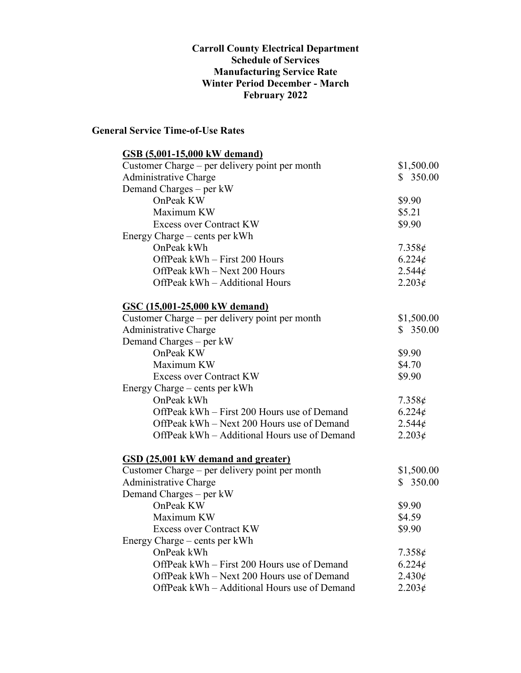#### **Carroll County Electrical Department Schedule of Services Manufacturing Service Rate Winter Period December - March February 2022**

### **General Service Time-of-Use Rates**

| <b>GSB</b> (5,001-15,000 kW demand)            |                 |
|------------------------------------------------|-----------------|
| Customer Charge – per delivery point per month | \$1,500.00      |
| Administrative Charge                          | \$350.00        |
| Demand Charges - per kW                        |                 |
| OnPeak KW                                      | \$9.90          |
| Maximum KW                                     | \$5.21          |
| <b>Excess over Contract KW</b>                 | \$9.90          |
| Energy Charge – cents per kWh                  |                 |
| OnPeak kWh                                     | $7.358\phi$     |
| OffPeak kWh - First 200 Hours                  | $6.224\epsilon$ |
| OffPeak kWh - Next 200 Hours                   | 2.544¢          |
| OffPeak kWh - Additional Hours                 | 2.203¢          |
| <b>GSC (15,001-25,000 kW demand)</b>           |                 |
| Customer Charge – per delivery point per month | \$1,500.00      |
| Administrative Charge                          | \$350.00        |
| Demand Charges – per kW                        |                 |
| OnPeak KW                                      | \$9.90          |
| Maximum KW                                     | \$4.70          |
| <b>Excess over Contract KW</b>                 | \$9.90          |
| Energy Charge – cents per kWh                  |                 |
| OnPeak kWh                                     | $7.358\epsilon$ |
| OffPeak kWh - First 200 Hours use of Demand    | $6.224\epsilon$ |
| OffPeak kWh – Next 200 Hours use of Demand     | 2.544¢          |
| OffPeak kWh – Additional Hours use of Demand   | 2.203¢          |
| <b>GSD</b> (25,001 kW demand and greater)      |                 |
| Customer Charge – per delivery point per month | \$1,500.00      |
| <b>Administrative Charge</b>                   | \$350.00        |
| Demand Charges – per kW                        |                 |
| OnPeak KW                                      | \$9.90          |
| Maximum KW                                     | \$4.59          |
| <b>Excess over Contract KW</b>                 | \$9.90          |
| Energy Charge – cents per kWh                  |                 |
| OnPeak kWh                                     | 7.358¢          |
| OffPeak kWh – First 200 Hours use of Demand    | $6.224\epsilon$ |
| OffPeak kWh - Next 200 Hours use of Demand     | $2.430\phi$     |
| OffPeak kWh – Additional Hours use of Demand   | $2.203\epsilon$ |